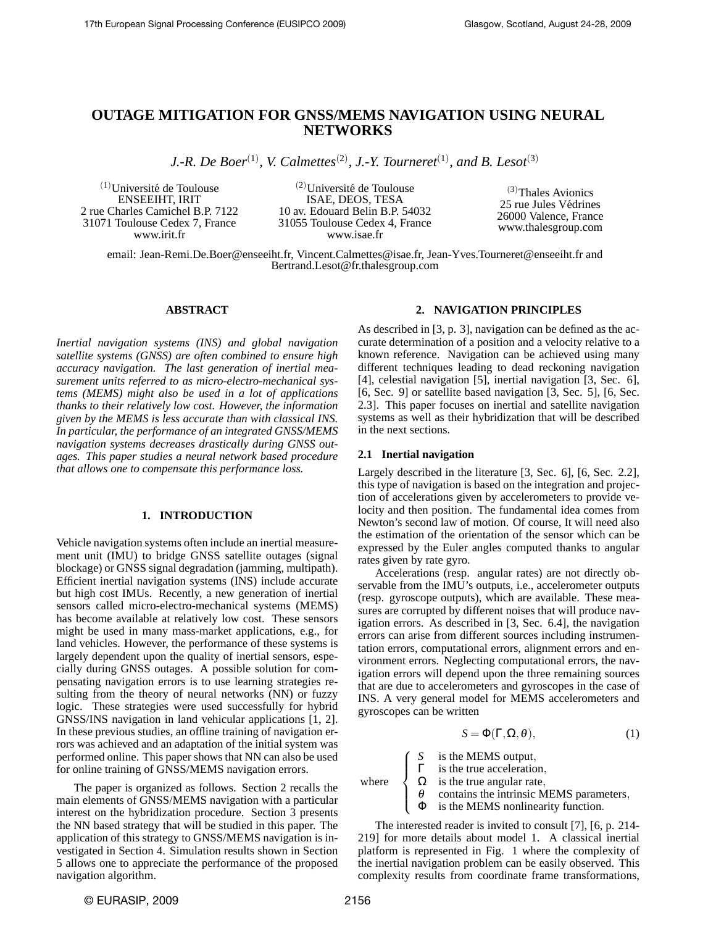# **OUTAGE MITIGATION FOR GNSS/MEMS NAVIGATION USING NEURAL NETWORKS**

*J.-R. De Boer*<sup>(1)</sup>, *V. Calmettes*<sup>(2)</sup>, *J.-Y. Tourneret*<sup>(1)</sup>, and *B. Lesot*<sup>(3)</sup>

 $(1)$ Université de Toulouse ENSEEIHT, IRIT 2 rue Charles Camichel B.P. 7122 31071 Toulouse Cedex 7, France www.irit.fr

 $(2)$ Université de Toulouse ISAE, DEOS, TESA 10 av. Edouard Belin B.P. 54032 31055 Toulouse Cedex 4, France www.isae.fr

(3)Thales Avionics 25 rue Jules Vedrines ´ 26000 Valence, France www.thalesgroup.com

email: Jean-Remi.De.Boer@enseeiht.fr, Vincent.Calmettes@isae.fr, Jean-Yves.Tourneret@enseeiht.fr and Bertrand.Lesot@fr.thalesgroup.com

# **ABSTRACT**

*Inertial navigation systems (INS) and global navigation satellite systems (GNSS) are often combined to ensure high accuracy navigation. The last generation of inertial measurement units referred to as micro-electro-mechanical systems (MEMS) might also be used in a lot of applications thanks to their relatively low cost. However, the information given by the MEMS is less accurate than with classical INS. In particular, the performance of an integrated GNSS/MEMS navigation systems decreases drastically during GNSS outages. This paper studies a neural network based procedure that allows one to compensate this performance loss.*

# **1. INTRODUCTION**

Vehicle navigation systems often include an inertial measurement unit (IMU) to bridge GNSS satellite outages (signal blockage) or GNSS signal degradation (jamming, multipath). Efficient inertial navigation systems (INS) include accurate but high cost IMUs. Recently, a new generation of inertial sensors called micro-electro-mechanical systems (MEMS) has become available at relatively low cost. These sensors might be used in many mass-market applications, e.g., for land vehicles. However, the performance of these systems is largely dependent upon the quality of inertial sensors, especially during GNSS outages. A possible solution for compensating navigation errors is to use learning strategies resulting from the theory of neural networks (NN) or fuzzy logic. These strategies were used successfully for hybrid GNSS/INS navigation in land vehicular applications [1, 2]. In these previous studies, an offline training of navigation errors was achieved and an adaptation of the initial system was performed online. This paper shows that NN can also be used for online training of GNSS/MEMS navigation errors.

The paper is organized as follows. Section 2 recalls the main elements of GNSS/MEMS navigation with a particular interest on the hybridization procedure. Section 3 presents the NN based strategy that will be studied in this paper. The application of this strategy to GNSS/MEMS navigation is investigated in Section 4. Simulation results shown in Section 5 allows one to appreciate the performance of the proposed navigation algorithm.

# **2. NAVIGATION PRINCIPLES**

As described in [3, p. 3], navigation can be defined as the accurate determination of a position and a velocity relative to a known reference. Navigation can be achieved using many different techniques leading to dead reckoning navigation [4], celestial navigation [5], inertial navigation [3, Sec. 6], [6, Sec. 9] or satellite based navigation [3, Sec. 5], [6, Sec. 2.3]. This paper focuses on inertial and satellite navigation systems as well as their hybridization that will be described in the next sections.

#### **2.1 Inertial navigation**

Largely described in the literature [3, Sec. 6], [6, Sec. 2.2], this type of navigation is based on the integration and projection of accelerations given by accelerometers to provide velocity and then position. The fundamental idea comes from Newton's second law of motion. Of course, It will need also the estimation of the orientation of the sensor which can be expressed by the Euler angles computed thanks to angular rates given by rate gyro.

Accelerations (resp. angular rates) are not directly observable from the IMU's outputs, i.e., accelerometer outputs (resp. gyroscope outputs), which are available. These measures are corrupted by different noises that will produce navigation errors. As described in [3, Sec. 6.4], the navigation errors can arise from different sources including instrumentation errors, computational errors, alignment errors and environment errors. Neglecting computational errors, the navigation errors will depend upon the three remaining sources that are due to accelerometers and gyroscopes in the case of INS. A very general model for MEMS accelerometers and gyroscopes can be written

$$
S = \Phi(\Gamma, \Omega, \theta), \tag{1}
$$

*S* is the MEMS output,

 $\int$  $\Gamma$  is the true acceleration,

 $\Omega$  is the true angular rate,

- $\theta$  contains the intrinsic MEMS parameters,
- Φ is the MEMS nonlinearity function.

The interested reader is invited to consult [7], [6, p. 214- 219] for more details about model 1. A classical inertial platform is represented in Fig. 1 where the complexity of the inertial navigation problem can be easily observed. This complexity results from coordinate frame transformations,

where

 $\sqrt{ }$ 

 $\overline{\mathcal{L}}$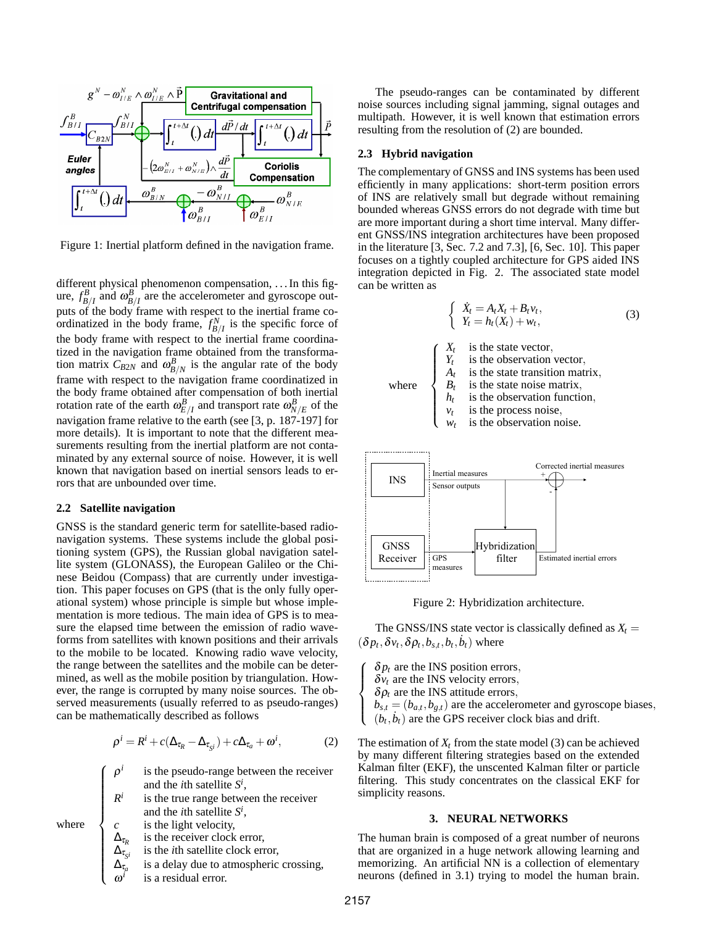

Figure 1: Inertial platform defined in the navigation frame.

different physical phenomenon compensation, . . . In this figure,  $f_{B/I}^B$  and  $\omega_{B/I}^B$  are the accelerometer and gyroscope outputs of the body frame with respect to the inertial frame coordinatized in the body frame,  $f_{B/I}^N$  is the specific force of the body frame with respect to the inertial frame coordinatized in the navigation frame obtained from the transformation matrix  $C_{B2N}$  and  $\omega_{B/N}^B$  is the angular rate of the body frame with respect to the navigation frame coordinatized in the body frame obtained after compensation of both inertial rotation rate of the earth  $\omega_{E/I}^B$  and transport rate  $\omega_{N/E}^B$  of the navigation frame relative to the earth (see [3, p. 187-197] for more details). It is important to note that the different measurements resulting from the inertial platform are not contaminated by any external source of noise. However, it is well known that navigation based on inertial sensors leads to errors that are unbounded over time.

#### **2.2 Satellite navigation**

GNSS is the standard generic term for satellite-based radionavigation systems. These systems include the global positioning system (GPS), the Russian global navigation satellite system (GLONASS), the European Galileo or the Chinese Beidou (Compass) that are currently under investigation. This paper focuses on GPS (that is the only fully operational system) whose principle is simple but whose implementation is more tedious. The main idea of GPS is to measure the elapsed time between the emission of radio waveforms from satellites with known positions and their arrivals to the mobile to be located. Knowing radio wave velocity, the range between the satellites and the mobile can be determined, as well as the mobile position by triangulation. However, the range is corrupted by many noise sources. The observed measurements (usually referred to as pseudo-ranges) can be mathematically described as follows

$$
\rho^{i} = R^{i} + c(\Delta_{\tau_{R}} - \Delta_{\tau_{S^{i}}}) + c\Delta_{\tau_{a}} + \omega^{i}, \qquad (2)
$$

ρ *i* is the pseudo-range between the receiver and the *i*th satellite *S i* ,

*R i* is the true range between the receiver and the *i*th satellite *S i* , *c* is the light velocity,

is the receiver clock error,

is a residual error.

is the *i*th satellite clock error,

is a delay due to atmospheric crossing,

where

 $\sqrt{ }$ 

 $\begin{array}{c} \hline \end{array}$ 

 $\begin{array}{c} \hline \end{array}$ 

∆τ*<sup>R</sup>*

 $\Delta_{\tau_{S^i}}$ 

 $\Delta_{\tau_{a}}$ 

ω *i*

The pseudo-ranges can be contaminated by different noise sources including signal jamming, signal outages and multipath. However, it is well known that estimation errors resulting from the resolution of (2) are bounded.

# **2.3 Hybrid navigation**

The complementary of GNSS and INS systems has been used efficiently in many applications: short-term position errors of INS are relatively small but degrade without remaining bounded whereas GNSS errors do not degrade with time but are more important during a short time interval. Many different GNSS/INS integration architectures have been proposed in the literature [3, Sec. 7.2 and 7.3], [6, Sec. 10]. This paper focuses on a tightly coupled architecture for GPS aided INS integration depicted in Fig. 2. The associated state model can be written as

$$
\begin{cases} \n\dot{X}_t = A_t X_t + B_t v_t, \\ \nY_t = h_t(X_t) + w_t, \n\end{cases} \n\tag{3}
$$



Figure 2: Hybridization architecture.

The GNSS/INS state vector is classically defined as  $X_t =$  $(\delta p_t, \delta v_t, \delta \rho_t, b_{s,t}, b_t, \dot{b}_t)$  where

 $\delta p_t$  are the INS position errors,  $\delta v_t$  are the INS velocity errors,  $\delta \rho_t$  are the INS attitude errors,  $b_{s,t} = (b_{a,t}, b_{g,t})$  are the accelerometer and gyroscope biases,  $(b_t, b_t)$  are the GPS receiver clock bias and drift.

The estimation of  $X_t$  from the state model (3) can be achieved by many different filtering strategies based on the extended Kalman filter (EKF), the unscented Kalman filter or particle filtering. This study concentrates on the classical EKF for simplicity reasons.

#### **3. NEURAL NETWORKS**

The human brain is composed of a great number of neurons that are organized in a huge network allowing learning and memorizing. An artificial NN is a collection of elementary neurons (defined in 3.1) trying to model the human brain.

 $\sqrt{ }$  $\int$ 

 $\overline{\mathcal{L}}$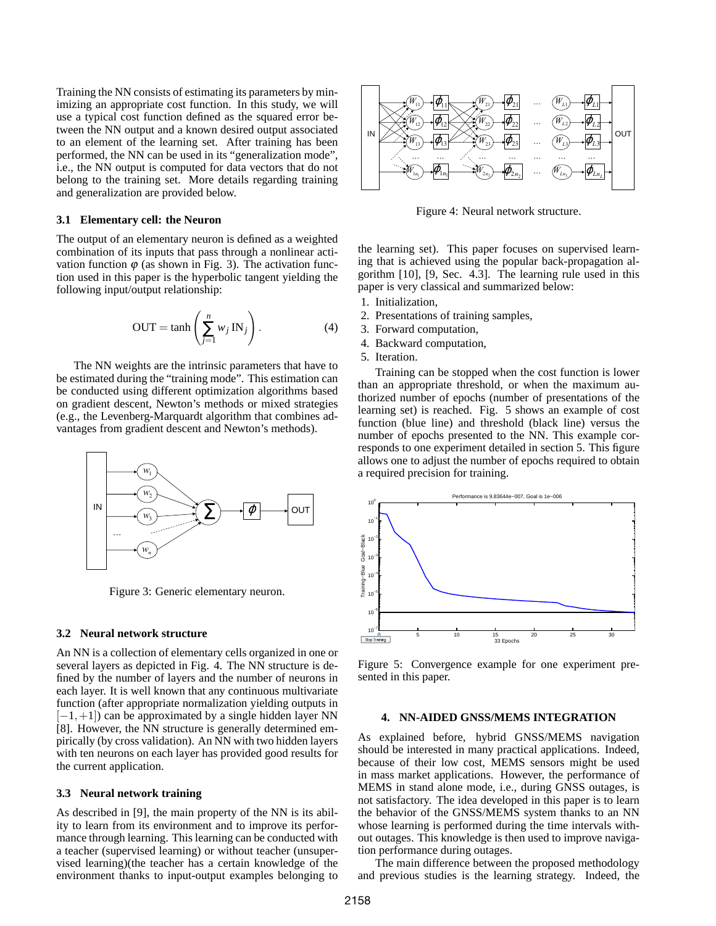Training the NN consists of estimating its parameters by minimizing an appropriate cost function. In this study, we will use a typical cost function defined as the squared error between the NN output and a known desired output associated to an element of the learning set. After training has been performed, the NN can be used in its "generalization mode", i.e., the NN output is computed for data vectors that do not belong to the training set. More details regarding training and generalization are provided below.

### **3.1 Elementary cell: the Neuron**

The output of an elementary neuron is defined as a weighted combination of its inputs that pass through a nonlinear activation function  $\varphi$  (as shown in Fig. 3). The activation function used in this paper is the hyperbolic tangent yielding the following input/output relationship:

$$
OUT = \tanh\left(\sum_{j=1}^{n} w_j IN_j\right). \tag{4}
$$

The NN weights are the intrinsic parameters that have to be estimated during the "training mode". This estimation can be conducted using different optimization algorithms based on gradient descent, Newton's methods or mixed strategies (e.g., the Levenberg-Marquardt algorithm that combines advantages from gradient descent and Newton's methods).



Figure 3: Generic elementary neuron.

# **3.2 Neural network structure**

An NN is a collection of elementary cells organized in one or several layers as depicted in Fig. 4. The NN structure is defined by the number of layers and the number of neurons in each layer. It is well known that any continuous multivariate function (after appropriate normalization yielding outputs in  $[-1,+1]$ ) can be approximated by a single hidden layer NN [8]. However, the NN structure is generally determined empirically (by cross validation). An NN with two hidden layers with ten neurons on each layer has provided good results for the current application.

### **3.3 Neural network training**

As described in [9], the main property of the NN is its ability to learn from its environment and to improve its performance through learning. This learning can be conducted with a teacher (supervised learning) or without teacher (unsupervised learning)(the teacher has a certain knowledge of the environment thanks to input-output examples belonging to



Figure 4: Neural network structure.

the learning set). This paper focuses on supervised learning that is achieved using the popular back-propagation algorithm [10], [9, Sec. 4.3]. The learning rule used in this paper is very classical and summarized below:

- 1. Initialization,
- 2. Presentations of training samples,
- 3. Forward computation,
- 4. Backward computation,
- 5. Iteration.

Training can be stopped when the cost function is lower than an appropriate threshold, or when the maximum authorized number of epochs (number of presentations of the learning set) is reached. Fig. 5 shows an example of cost function (blue line) and threshold (black line) versus the number of epochs presented to the NN. This example corresponds to one experiment detailed in section 5. This figure allows one to adjust the number of epochs required to obtain a required precision for training.



Figure 5: Convergence example for one experiment presented in this paper.

### **4. NN-AIDED GNSS/MEMS INTEGRATION**

As explained before, hybrid GNSS/MEMS navigation should be interested in many practical applications. Indeed, because of their low cost, MEMS sensors might be used in mass market applications. However, the performance of MEMS in stand alone mode, i.e., during GNSS outages, is not satisfactory. The idea developed in this paper is to learn the behavior of the GNSS/MEMS system thanks to an NN whose learning is performed during the time intervals without outages. This knowledge is then used to improve navigation performance during outages.

The main difference between the proposed methodology and previous studies is the learning strategy. Indeed, the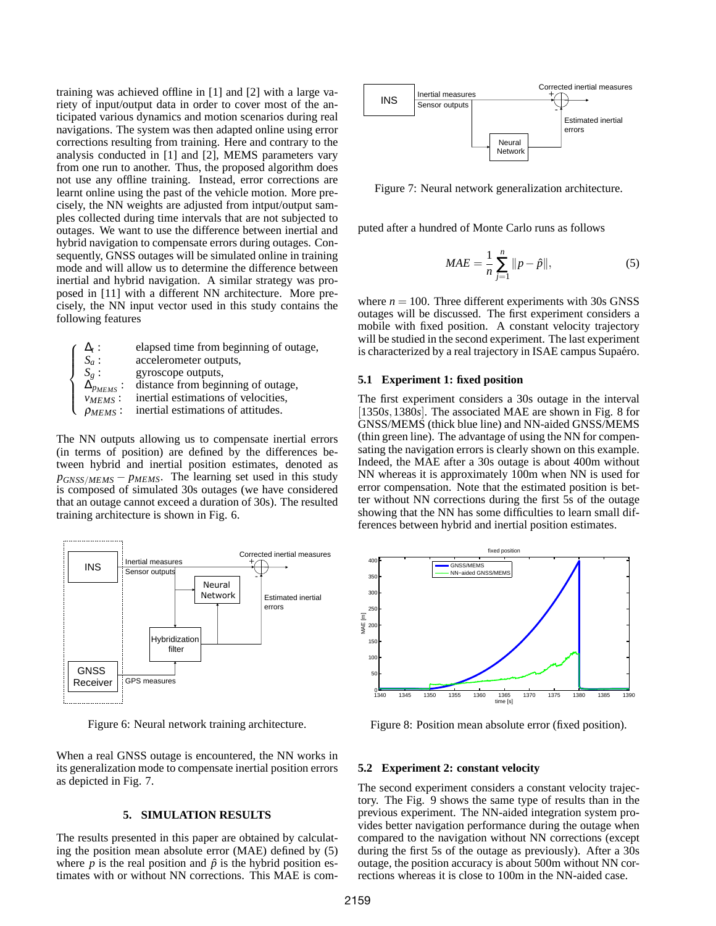training was achieved offline in [1] and [2] with a large variety of input/output data in order to cover most of the anticipated various dynamics and motion scenarios during real navigations. The system was then adapted online using error corrections resulting from training. Here and contrary to the analysis conducted in [1] and [2], MEMS parameters vary from one run to another. Thus, the proposed algorithm does not use any offline training. Instead, error corrections are learnt online using the past of the vehicle motion. More precisely, the NN weights are adjusted from intput/output samples collected during time intervals that are not subjected to outages. We want to use the difference between inertial and hybrid navigation to compensate errors during outages. Consequently, GNSS outages will be simulated online in training mode and will allow us to determine the difference between inertial and hybrid navigation. A similar strategy was proposed in [11] with a different NN architecture. More precisely, the NN input vector used in this study contains the following features

| $\Delta_{t}$ :        | elapsed time from beginning of outage, |
|-----------------------|----------------------------------------|
| $S_a$ :               | accelerometer outputs,                 |
| $S_{\varrho}$ :       | gyroscope outputs,                     |
| $\Delta_{p_{MEMS}}$ : | distance from beginning of outage,     |
| $v_{MEMS}$ :          | inertial estimations of velocities,    |
| $\rho_{MEMS}$ :       | inertial estimations of attitudes.     |
|                       |                                        |

The NN outputs allowing us to compensate inertial errors (in terms of position) are defined by the differences between hybrid and inertial position estimates, denoted as *pGNSS*/*MEMS* − *pMEMS*. The learning set used in this study is composed of simulated 30s outages (we have considered that an outage cannot exceed a duration of 30s). The resulted training architecture is shown in Fig. 6.



Figure 6: Neural network training architecture.

When a real GNSS outage is encountered, the NN works in its generalization mode to compensate inertial position errors as depicted in Fig. 7.

#### **5. SIMULATION RESULTS**

The results presented in this paper are obtained by calculating the position mean absolute error (MAE) defined by (5) where  $p$  is the real position and  $\hat{p}$  is the hybrid position estimates with or without NN corrections. This MAE is com-



Figure 7: Neural network generalization architecture.

puted after a hundred of Monte Carlo runs as follows

$$
MAE = \frac{1}{n} \sum_{j=1}^{n} ||p - \hat{p}||, \tag{5}
$$

where  $n = 100$ . Three different experiments with 30s GNSS outages will be discussed. The first experiment considers a mobile with fixed position. A constant velocity trajectory will be studied in the second experiment. The last experiment is characterized by a real trajectory in ISAE campus Supaéro.

#### **5.1 Experiment 1: fixed position**

The first experiment considers a 30s outage in the interval [1350*s*, 1380*s*]. The associated MAE are shown in Fig. 8 for GNSS/MEMS (thick blue line) and NN-aided GNSS/MEMS (thin green line). The advantage of using the NN for compensating the navigation errors is clearly shown on this example. Indeed, the MAE after a 30s outage is about 400m without NN whereas it is approximately 100m when NN is used for error compensation. Note that the estimated position is better without NN corrections during the first 5s of the outage showing that the NN has some difficulties to learn small differences between hybrid and inertial position estimates.



Figure 8: Position mean absolute error (fixed position).

#### **5.2 Experiment 2: constant velocity**

The second experiment considers a constant velocity trajectory. The Fig. 9 shows the same type of results than in the previous experiment. The NN-aided integration system provides better navigation performance during the outage when compared to the navigation without NN corrections (except during the first 5s of the outage as previously). After a 30s outage, the position accuracy is about 500m without NN corrections whereas it is close to 100m in the NN-aided case.